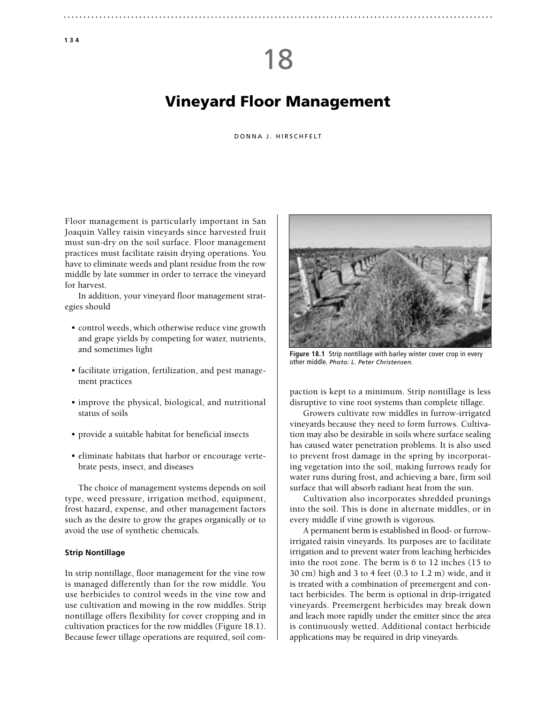# 18

# Vineyard Floor Management

#### DONNA J. HIRSCHFELT

Floor management is particularly important in San Joaquin Valley raisin vineyards since harvested fruit must sun-dry on the soil surface. Floor management practices must facilitate raisin drying operations. You have to eliminate weeds and plant residue from the row middle by late summer in order to terrace the vineyard for harvest.

In addition, your vineyard floor management strategies should

- control weeds, which otherwise reduce vine growth and grape yields by competing for water, nutrients, and sometimes light
- facilitate irrigation, fertilization, and pest management practices
- improve the physical, biological, and nutritional status of soils
- provide a suitable habitat for beneficial insects
- eliminate habitats that harbor or encourage vertebrate pests, insect, and diseases

The choice of management systems depends on soil type, weed pressure, irrigation method, equipment, frost hazard, expense, and other management factors such as the desire to grow the grapes organically or to avoid the use of synthetic chemicals.

## **Strip Nontillage**

In strip nontillage, floor management for the vine row is managed differently than for the row middle. You use herbicides to control weeds in the vine row and use cultivation and mowing in the row middles. Strip nontillage offers flexibility for cover cropping and in cultivation practices for the row middles (Figure 18.1). Because fewer tillage operations are required, soil com-



**Figure 18.1** Strip nontillage with barley winter cover crop in every other middle. *Photo: L. Peter Christensen.*

paction is kept to a minimum. Strip nontillage is less disruptive to vine root systems than complete tillage.

Growers cultivate row middles in furrow-irrigated vineyards because they need to form furrows. Cultivation may also be desirable in soils where surface sealing has caused water penetration problems. It is also used to prevent frost damage in the spring by incorporating vegetation into the soil, making furrows ready for water runs during frost, and achieving a bare, firm soil surface that will absorb radiant heat from the sun.

Cultivation also incorporates shredded prunings into the soil. This is done in alternate middles, or in every middle if vine growth is vigorous.

A permanent berm is established in flood- or furrowirrigated raisin vineyards. Its purposes are to facilitate irrigation and to prevent water from leaching herbicides into the root zone. The berm is 6 to 12 inches (15 to 30 cm) high and 3 to 4 feet (0.3 to 1.2 m) wide, and it is treated with a combination of preemergent and contact herbicides. The berm is optional in drip-irrigated vineyards. Preemergent herbicides may break down and leach more rapidly under the emitter since the area is continuously wetted. Additional contact herbicide applications may be required in drip vineyards.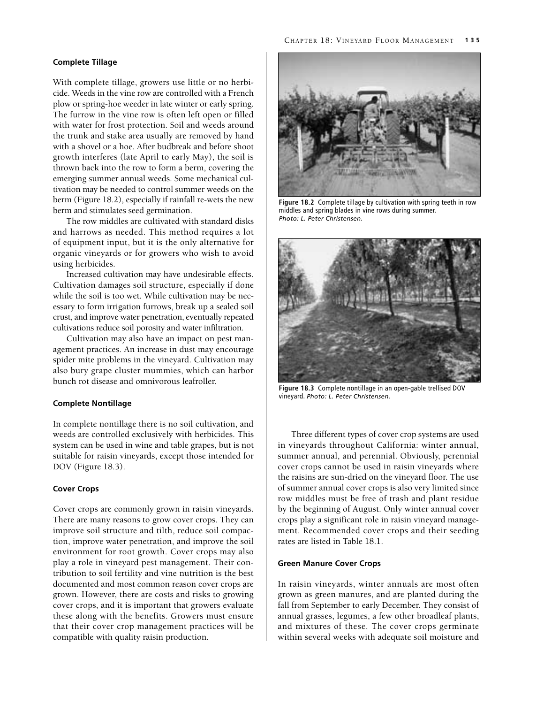## **Complete Tillage**

With complete tillage, growers use little or no herbicide. Weeds in the vine row are controlled with a French plow or spring-hoe weeder in late winter or early spring. The furrow in the vine row is often left open or filled with water for frost protection. Soil and weeds around the trunk and stake area usually are removed by hand with a shovel or a hoe. After budbreak and before shoot growth interferes (late April to early May), the soil is thrown back into the row to form a berm, covering the emerging summer annual weeds. Some mechanical cultivation may be needed to control summer weeds on the berm (Figure 18.2), especially if rainfall re-wets the new berm and stimulates seed germination.

The row middles are cultivated with standard disks and harrows as needed. This method requires a lot of equipment input, but it is the only alternative for organic vineyards or for growers who wish to avoid using herbicides.

Increased cultivation may have undesirable effects. Cultivation damages soil structure, especially if done while the soil is too wet. While cultivation may be necessary to form irrigation furrows, break up a sealed soil crust, and improve water penetration, eventually repeated cultivations reduce soil porosity and water infiltration.

Cultivation may also have an impact on pest management practices. An increase in dust may encourage spider mite problems in the vineyard. Cultivation may also bury grape cluster mummies, which can harbor bunch rot disease and omnivorous leafroller.

#### **Complete Nontillage**

In complete nontillage there is no soil cultivation, and weeds are controlled exclusively with herbicides. This system can be used in wine and table grapes, but is not suitable for raisin vineyards, except those intended for DOV (Figure 18.3).

# **Cover Crops**

Cover crops are commonly grown in raisin vineyards. There are many reasons to grow cover crops. They can improve soil structure and tilth, reduce soil compaction, improve water penetration, and improve the soil environment for root growth. Cover crops may also play a role in vineyard pest management. Their contribution to soil fertility and vine nutrition is the best documented and most common reason cover crops are grown. However, there are costs and risks to growing cover crops, and it is important that growers evaluate these along with the benefits. Growers must ensure that their cover crop management practices will be compatible with quality raisin production.



**Figure 18.2** Complete tillage by cultivation with spring teeth in row middles and spring blades in vine rows during summer. *Photo: L. Peter Christensen.*



**Figure 18.3** Complete nontillage in an open-gable trellised DOV vineyard. *Photo: L. Peter Christensen.*

Three different types of cover crop systems are used in vineyards throughout California: winter annual, summer annual, and perennial. Obviously, perennial cover crops cannot be used in raisin vineyards where the raisins are sun-dried on the vineyard floor. The use of summer annual cover crops is also very limited since row middles must be free of trash and plant residue by the beginning of August. Only winter annual cover crops play a significant role in raisin vineyard management. Recommended cover crops and their seeding rates are listed in Table 18.1.

## **Green Manure Cover Crops**

In raisin vineyards, winter annuals are most often grown as green manures, and are planted during the fall from September to early December. They consist of annual grasses, legumes, a few other broadleaf plants, and mixtures of these. The cover crops germinate within several weeks with adequate soil moisture and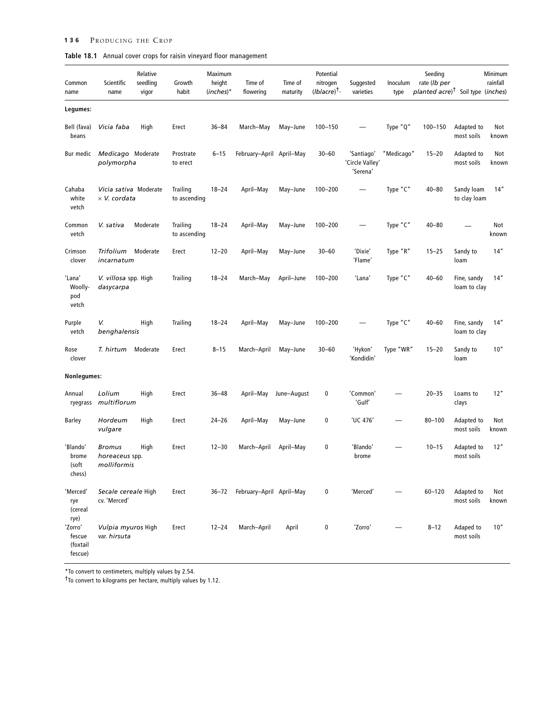# **136** PRODUCING THE CROP

| Table 18.1 Annual cover crops for raisin vineyard floor management |  |  |
|--------------------------------------------------------------------|--|--|
|                                                                    |  |  |

| Common<br>name                                   | Scientific<br>name                             | Relative<br>seedling<br>vigor | Growth<br>habit          | Maximum<br>height<br>$(inches)*$ | Time of<br>flowering     | Time of<br>maturity | Potential<br>nitrogen<br>$(lblacre)^{\dagger}$ - | Suggested<br>varieties                    | Inoculum<br>type | Seeding<br>rate (lb per<br>planted acre) <sup>†</sup> Soil type (inches) |                             | Minimum<br>rainfall |
|--------------------------------------------------|------------------------------------------------|-------------------------------|--------------------------|----------------------------------|--------------------------|---------------------|--------------------------------------------------|-------------------------------------------|------------------|--------------------------------------------------------------------------|-----------------------------|---------------------|
| Legumes:                                         |                                                |                               |                          |                                  |                          |                     |                                                  |                                           |                  |                                                                          |                             |                     |
| Bell (fava)<br>beans                             | Vicia faba                                     | High                          | Erect                    | $36 - 84$                        | March-May                | May-June            | $100 - 150$                                      |                                           | Type "Q"         | $100 - 150$                                                              | Adapted to<br>most soils    | Not<br>known        |
| Bur medic                                        | Medicago Moderate<br>polymorpha                |                               | Prostrate<br>to erect    | $6 - 15$                         | February-April April-May |                     | $30 - 60$                                        | 'Santiago'<br>'Circle Valley'<br>'Serena' | "Medicago"       | $15 - 20$                                                                | Adapted to<br>most soils    | Not<br>known        |
| Cahaba<br>white<br>vetch                         | Vicia sativa Moderate<br>$\times$ V. cordata   |                               | Trailing<br>to ascending | $18 - 24$                        | April-May                | May-June            | 100-200                                          |                                           | Type "C"         | $40 - 80$                                                                | Sandy loam<br>to clay loam  | 14"                 |
| Common<br>vetch                                  | V. sativa                                      | Moderate                      | Trailing<br>to ascending | $18 - 24$                        | April-May                | May-June            | 100-200                                          |                                           | Type "C"         | $40 - 80$                                                                |                             | Not<br>known        |
| Crimson<br>clover                                | Trifolium<br>incarnatum                        | Moderate                      | Erect                    | $12 - 20$                        | April-May                | May-June            | $30 - 60$                                        | 'Dixie'<br>'Flame'                        | Type "R"         | $15 - 25$                                                                | Sandy to<br>loam            | 14''                |
| 'Lana'<br>Woolly-<br>pod<br>vetch                | V. villosa spp. High<br>dasycarpa              |                               | Trailing                 | $18 - 24$                        | March-May                | April-June          | $100 - 200$                                      | 'Lana'                                    | Type "C"         | $40 - 60$                                                                | Fine, sandy<br>loam to clay | 14"                 |
| Purple<br>vetch                                  | V.<br>benghalensis                             | High                          | Trailing                 | $18 - 24$                        | April-May                | May-June            | $100 - 200$                                      |                                           | Type "C"         | $40 - 60$                                                                | Fine, sandy<br>loam to clay | 14''                |
| Rose<br>clover                                   | T. hirtum                                      | Moderate                      | Erect                    | $8 - 15$                         | March-April              | May-June            | $30 - 60$                                        | 'Hykon'<br>'Kondidin'                     | Type "WR"        | $15 - 20$                                                                | Sandy to<br>loam            | 10''                |
| Nonlegumes:                                      |                                                |                               |                          |                                  |                          |                     |                                                  |                                           |                  |                                                                          |                             |                     |
| Annual<br>ryegrass                               | Lolium<br>multiflorum                          | High                          | Erect                    | $36 - 48$                        | April-May                | June-August         | 0                                                | 'Common'<br>'Gulf'                        |                  | $20 - 35$                                                                | Loams to<br>clays           | 12"                 |
| Barley                                           | Hordeum<br>vulgare                             | High                          | Erect                    | $24 - 26$                        | April-May                | May-June            | 0                                                | 'UC 476'                                  |                  | $80 - 100$                                                               | Adapted to<br>most soils    | Not<br>known        |
| 'Blando'<br>brome<br>(soft<br>chess)             | <b>Bromus</b><br>horeaceus spp.<br>molliformis | High                          | Erect                    | $12 - 30$                        | March-April              | April–May           | 0                                                | 'Blando'<br>brome                         |                  | $10 - 15$                                                                | Adapted to<br>most soils    | 12''                |
| 'Merced'<br>rye<br>(cereal                       | Secale cereale High<br>cv. 'Merced'            |                               | Erect                    | $36 - 72$                        | February-April April-May |                     | 0                                                | 'Merced'                                  |                  | $60 - 120$                                                               | Adapted to<br>most soils    | Not<br>known        |
| rye)<br>'Zorro'<br>fescue<br>(foxtail<br>fescue) | Vulpia myuros High<br>var. hirsuta             |                               | Erect                    | $12 - 24$                        | March-April              | April               | 0                                                | 'Zorro'                                   |                  | $8 - 12$                                                                 | Adaped to<br>most soils     | 10"                 |

\*To convert to centimeters, multiply values by 2.54. †To convert to kilograms per hectare, multiply values by 1.12.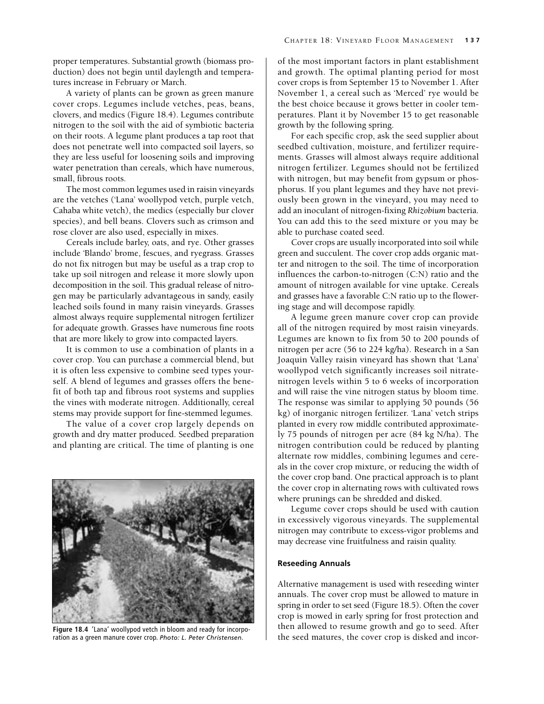proper temperatures. Substantial growth (biomass production) does not begin until daylength and temperatures increase in February or March.

A variety of plants can be grown as green manure cover crops. Legumes include vetches, peas, beans, clovers, and medics (Figure 18.4). Legumes contribute nitrogen to the soil with the aid of symbiotic bacteria on their roots. A legume plant produces a tap root that does not penetrate well into compacted soil layers, so they are less useful for loosening soils and improving water penetration than cereals, which have numerous, small, fibrous roots.

The most common legumes used in raisin vineyards are the vetches ('Lana' woollypod vetch, purple vetch, Cahaba white vetch), the medics (especially bur clover species), and bell beans. Clovers such as crimson and rose clover are also used, especially in mixes.

Cereals include barley, oats, and rye. Other grasses include 'Blando' brome, fescues, and ryegrass. Grasses do not fix nitrogen but may be useful as a trap crop to take up soil nitrogen and release it more slowly upon decomposition in the soil. This gradual release of nitrogen may be particularly advantageous in sandy, easily leached soils found in many raisin vineyards. Grasses almost always require supplemental nitrogen fertilizer for adequate growth. Grasses have numerous fine roots that are more likely to grow into compacted layers.

It is common to use a combination of plants in a cover crop. You can purchase a commercial blend, but it is often less expensive to combine seed types yourself. A blend of legumes and grasses offers the benefit of both tap and fibrous root systems and supplies the vines with moderate nitrogen. Additionally, cereal stems may provide support for fine-stemmed legumes.

The value of a cover crop largely depends on growth and dry matter produced. Seedbed preparation and planting are critical. The time of planting is one



ration as a green manure cover crop. *Photo: L. Peter Christensen.*

of the most important factors in plant establishment and growth. The optimal planting period for most cover crops is from September 15 to November 1. After November 1, a cereal such as 'Merced' rye would be the best choice because it grows better in cooler temperatures. Plant it by November 15 to get reasonable growth by the following spring.

For each specific crop, ask the seed supplier about seedbed cultivation, moisture, and fertilizer requirements. Grasses will almost always require additional nitrogen fertilizer. Legumes should not be fertilized with nitrogen, but may benefit from gypsum or phosphorus. If you plant legumes and they have not previously been grown in the vineyard, you may need to add an inoculant of nitrogen-fixing *Rhizobium* bacteria. You can add this to the seed mixture or you may be able to purchase coated seed.

Cover crops are usually incorporated into soil while green and succulent. The cover crop adds organic matter and nitrogen to the soil. The time of incorporation influences the carbon-to-nitrogen (C:N) ratio and the amount of nitrogen available for vine uptake. Cereals and grasses have a favorable C:N ratio up to the flowering stage and will decompose rapidly.

A legume green manure cover crop can provide all of the nitrogen required by most raisin vineyards. Legumes are known to fix from 50 to 200 pounds of nitrogen per acre (56 to 224 kg/ha). Research in a San Joaquin Valley raisin vineyard has shown that 'Lana' woollypod vetch significantly increases soil nitratenitrogen levels within 5 to 6 weeks of incorporation and will raise the vine nitrogen status by bloom time. The response was similar to applying 50 pounds (56 kg) of inorganic nitrogen fertilizer. 'Lana' vetch strips planted in every row middle contributed approximately 75 pounds of nitrogen per acre (84 kg N/ha). The nitrogen contribution could be reduced by planting alternate row middles, combining legumes and cereals in the cover crop mixture, or reducing the width of the cover crop band. One practical approach is to plant the cover crop in alternating rows with cultivated rows where prunings can be shredded and disked.

Legume cover crops should be used with caution in excessively vigorous vineyards. The supplemental nitrogen may contribute to excess-vigor problems and may decrease vine fruitfulness and raisin quality.

#### **Reseeding Annuals**

Alternative management is used with reseeding winter annuals. The cover crop must be allowed to mature in spring in order to set seed (Figure 18.5). Often the cover crop is mowed in early spring for frost protection and then allowed to resume growth and go to seed. After Figure 18.4 'Lana' woollypod vetch in bloom and ready for incorpo-<br>
ration as a green manure cover crop. *Photo: L. Peter Christensen.* The seed matures, the cover crop is disked and incor